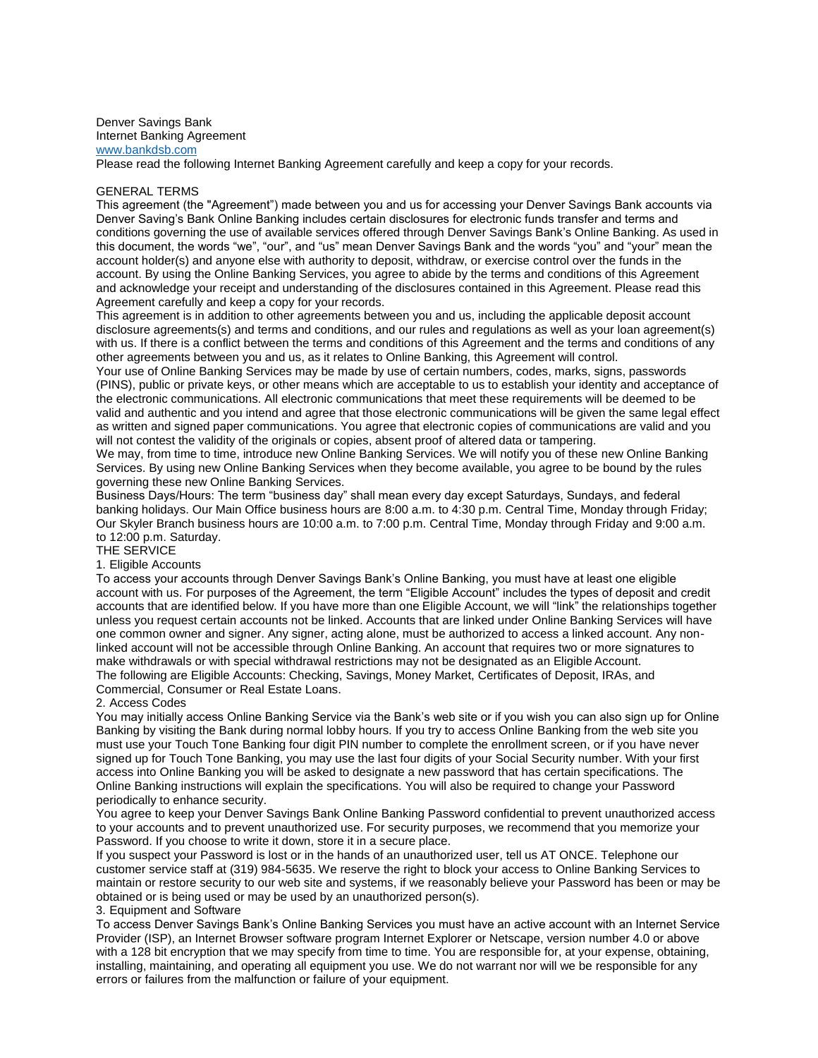Denver Savings Bank Internet Banking Agreement [www.bankdsb.com](http://www.bankdsb.com/)

Please read the following Internet Banking Agreement carefully and keep a copy for your records.

#### GENERAL TERMS

This agreement (the "Agreement") made between you and us for accessing your Denver Savings Bank accounts via Denver Saving's Bank Online Banking includes certain disclosures for electronic funds transfer and terms and conditions governing the use of available services offered through Denver Savings Bank's Online Banking. As used in this document, the words "we", "our", and "us" mean Denver Savings Bank and the words "you" and "your" mean the account holder(s) and anyone else with authority to deposit, withdraw, or exercise control over the funds in the account. By using the Online Banking Services, you agree to abide by the terms and conditions of this Agreement and acknowledge your receipt and understanding of the disclosures contained in this Agreement. Please read this Agreement carefully and keep a copy for your records.

This agreement is in addition to other agreements between you and us, including the applicable deposit account disclosure agreements(s) and terms and conditions, and our rules and regulations as well as your loan agreement(s) with us. If there is a conflict between the terms and conditions of this Agreement and the terms and conditions of any other agreements between you and us, as it relates to Online Banking, this Agreement will control.

Your use of Online Banking Services may be made by use of certain numbers, codes, marks, signs, passwords (PINS), public or private keys, or other means which are acceptable to us to establish your identity and acceptance of the electronic communications. All electronic communications that meet these requirements will be deemed to be valid and authentic and you intend and agree that those electronic communications will be given the same legal effect as written and signed paper communications. You agree that electronic copies of communications are valid and you will not contest the validity of the originals or copies, absent proof of altered data or tampering.

We may, from time to time, introduce new Online Banking Services. We will notify you of these new Online Banking Services. By using new Online Banking Services when they become available, you agree to be bound by the rules governing these new Online Banking Services.

Business Days/Hours: The term "business day" shall mean every day except Saturdays, Sundays, and federal banking holidays. Our Main Office business hours are 8:00 a.m. to 4:30 p.m. Central Time, Monday through Friday; Our Skyler Branch business hours are 10:00 a.m. to 7:00 p.m. Central Time, Monday through Friday and 9:00 a.m. to 12:00 p.m. Saturday.

# THE SERVICE

### 1. Eligible Accounts

To access your accounts through Denver Savings Bank's Online Banking, you must have at least one eligible account with us. For purposes of the Agreement, the term "Eligible Account" includes the types of deposit and credit accounts that are identified below. If you have more than one Eligible Account, we will "link" the relationships together unless you request certain accounts not be linked. Accounts that are linked under Online Banking Services will have one common owner and signer. Any signer, acting alone, must be authorized to access a linked account. Any nonlinked account will not be accessible through Online Banking. An account that requires two or more signatures to make withdrawals or with special withdrawal restrictions may not be designated as an Eligible Account. The following are Eligible Accounts: Checking, Savings, Money Market, Certificates of Deposit, IRAs, and Commercial, Consumer or Real Estate Loans.

#### 2. Access Codes

You may initially access Online Banking Service via the Bank's web site or if you wish you can also sign up for Online Banking by visiting the Bank during normal lobby hours. If you try to access Online Banking from the web site you must use your Touch Tone Banking four digit PIN number to complete the enrollment screen, or if you have never signed up for Touch Tone Banking, you may use the last four digits of your Social Security number. With your first access into Online Banking you will be asked to designate a new password that has certain specifications. The Online Banking instructions will explain the specifications. You will also be required to change your Password periodically to enhance security.

You agree to keep your Denver Savings Bank Online Banking Password confidential to prevent unauthorized access to your accounts and to prevent unauthorized use. For security purposes, we recommend that you memorize your Password. If you choose to write it down, store it in a secure place.

If you suspect your Password is lost or in the hands of an unauthorized user, tell us AT ONCE. Telephone our customer service staff at (319) 984-5635. We reserve the right to block your access to Online Banking Services to maintain or restore security to our web site and systems, if we reasonably believe your Password has been or may be obtained or is being used or may be used by an unauthorized person(s).

### 3. Equipment and Software

To access Denver Savings Bank's Online Banking Services you must have an active account with an Internet Service Provider (ISP), an Internet Browser software program Internet Explorer or Netscape, version number 4.0 or above with a 128 bit encryption that we may specify from time to time. You are responsible for, at your expense, obtaining, installing, maintaining, and operating all equipment you use. We do not warrant nor will we be responsible for any errors or failures from the malfunction or failure of your equipment.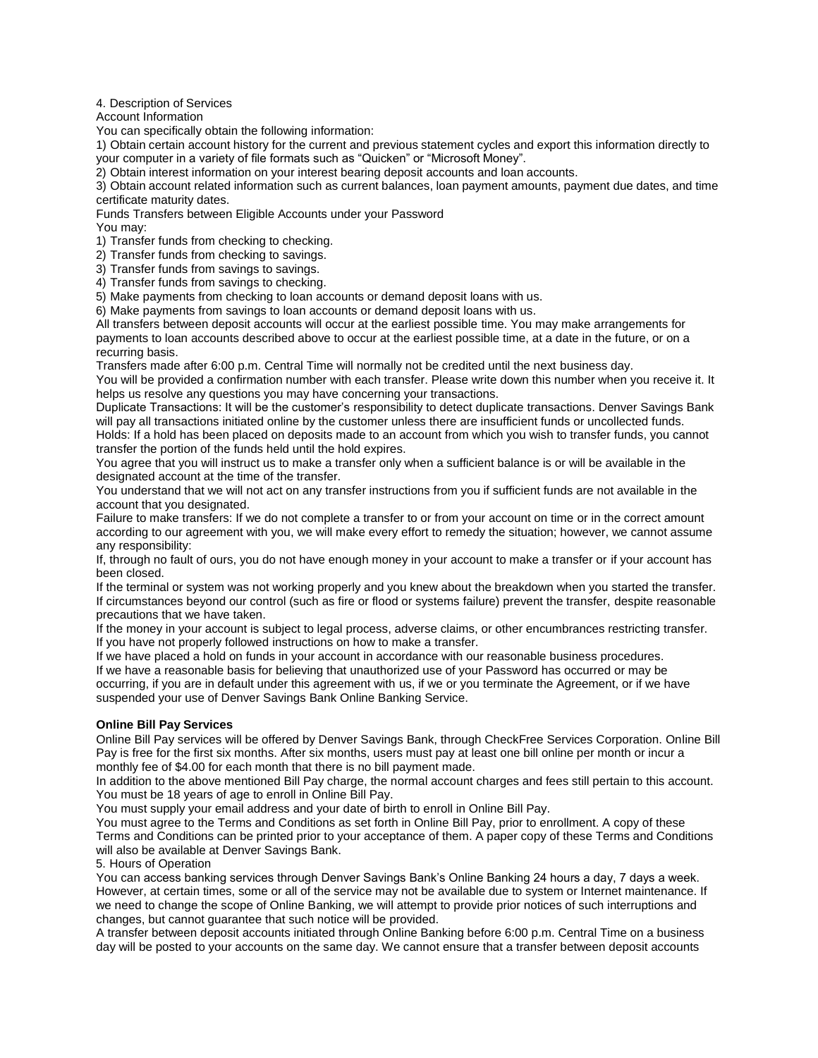4. Description of Services

Account Information

You can specifically obtain the following information:

1) Obtain certain account history for the current and previous statement cycles and export this information directly to your computer in a variety of file formats such as "Quicken" or "Microsoft Money".

2) Obtain interest information on your interest bearing deposit accounts and loan accounts.

3) Obtain account related information such as current balances, loan payment amounts, payment due dates, and time certificate maturity dates.

Funds Transfers between Eligible Accounts under your Password

You may:

1) Transfer funds from checking to checking.

2) Transfer funds from checking to savings.

3) Transfer funds from savings to savings.

4) Transfer funds from savings to checking.

5) Make payments from checking to loan accounts or demand deposit loans with us.

6) Make payments from savings to loan accounts or demand deposit loans with us.

All transfers between deposit accounts will occur at the earliest possible time. You may make arrangements for payments to loan accounts described above to occur at the earliest possible time, at a date in the future, or on a recurring basis.

Transfers made after 6:00 p.m. Central Time will normally not be credited until the next business day.

You will be provided a confirmation number with each transfer. Please write down this number when you receive it. It helps us resolve any questions you may have concerning your transactions.

Duplicate Transactions: It will be the customer's responsibility to detect duplicate transactions. Denver Savings Bank will pay all transactions initiated online by the customer unless there are insufficient funds or uncollected funds. Holds: If a hold has been placed on deposits made to an account from which you wish to transfer funds, you cannot transfer the portion of the funds held until the hold expires.

You agree that you will instruct us to make a transfer only when a sufficient balance is or will be available in the designated account at the time of the transfer.

You understand that we will not act on any transfer instructions from you if sufficient funds are not available in the account that you designated.

Failure to make transfers: If we do not complete a transfer to or from your account on time or in the correct amount according to our agreement with you, we will make every effort to remedy the situation; however, we cannot assume any responsibility:

If, through no fault of ours, you do not have enough money in your account to make a transfer or if your account has been closed.

If the terminal or system was not working properly and you knew about the breakdown when you started the transfer. If circumstances beyond our control (such as fire or flood or systems failure) prevent the transfer, despite reasonable precautions that we have taken.

If the money in your account is subject to legal process, adverse claims, or other encumbrances restricting transfer. If you have not properly followed instructions on how to make a transfer.

If we have placed a hold on funds in your account in accordance with our reasonable business procedures. If we have a reasonable basis for believing that unauthorized use of your Password has occurred or may be occurring, if you are in default under this agreement with us, if we or you terminate the Agreement, or if we have suspended your use of Denver Savings Bank Online Banking Service.

## **Online Bill Pay Services**

Online Bill Pay services will be offered by Denver Savings Bank, through CheckFree Services Corporation. Online Bill Pay is free for the first six months. After six months, users must pay at least one bill online per month or incur a monthly fee of \$4.00 for each month that there is no bill payment made.

In addition to the above mentioned Bill Pay charge, the normal account charges and fees still pertain to this account. You must be 18 years of age to enroll in Online Bill Pay.

You must supply your email address and your date of birth to enroll in Online Bill Pay.

You must agree to the Terms and Conditions as set forth in Online Bill Pay, prior to enrollment. A copy of these Terms and Conditions can be printed prior to your acceptance of them. A paper copy of these Terms and Conditions will also be available at Denver Savings Bank.

5. Hours of Operation

You can access banking services through Denver Savings Bank's Online Banking 24 hours a day, 7 days a week. However, at certain times, some or all of the service may not be available due to system or Internet maintenance. If we need to change the scope of Online Banking, we will attempt to provide prior notices of such interruptions and changes, but cannot guarantee that such notice will be provided.

A transfer between deposit accounts initiated through Online Banking before 6:00 p.m. Central Time on a business day will be posted to your accounts on the same day. We cannot ensure that a transfer between deposit accounts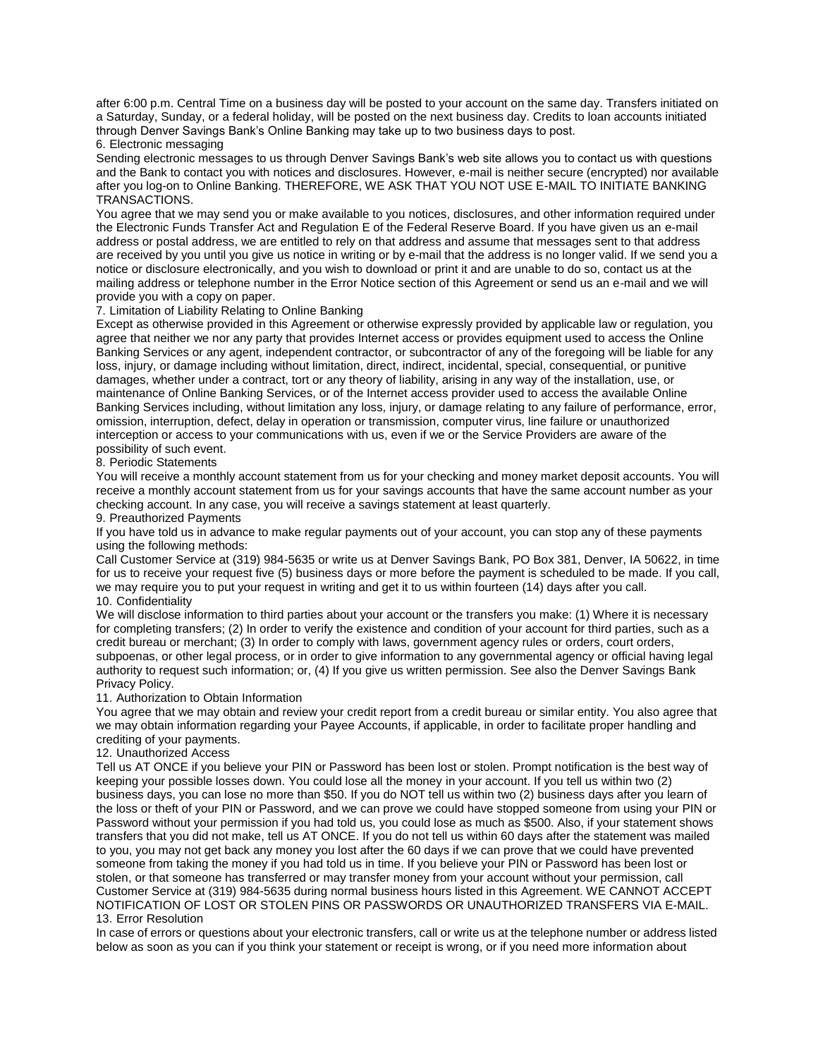after 6:00 p.m. Central Time on a business day will be posted to your account on the same day. Transfers initiated on a Saturday, Sunday, or a federal holiday, will be posted on the next business day. Credits to loan accounts initiated through Denver Savings Bank's Online Banking may take up to two business days to post.

6. Electronic messaging

Sending electronic messages to us through Denver Savings Bank's web site allows you to contact us with questions and the Bank to contact you with notices and disclosures. However, e-mail is neither secure (encrypted) nor available after you log-on to Online Banking. THEREFORE, WE ASK THAT YOU NOT USE E-MAIL TO INITIATE BANKING TRANSACTIONS.

You agree that we may send you or make available to you notices, disclosures, and other information required under the Electronic Funds Transfer Act and Regulation E of the Federal Reserve Board. If you have given us an e-mail address or postal address, we are entitled to rely on that address and assume that messages sent to that address are received by you until you give us notice in writing or by e-mail that the address is no longer valid. If we send you a notice or disclosure electronically, and you wish to download or print it and are unable to do so, contact us at the mailing address or telephone number in the Error Notice section of this Agreement or send us an e-mail and we will provide you with a copy on paper.

## 7. Limitation of Liability Relating to Online Banking

Except as otherwise provided in this Agreement or otherwise expressly provided by applicable law or regulation, you agree that neither we nor any party that provides Internet access or provides equipment used to access the Online Banking Services or any agent, independent contractor, or subcontractor of any of the foregoing will be liable for any loss, injury, or damage including without limitation, direct, indirect, incidental, special, consequential, or punitive damages, whether under a contract, tort or any theory of liability, arising in any way of the installation, use, or maintenance of Online Banking Services, or of the Internet access provider used to access the available Online Banking Services including, without limitation any loss, injury, or damage relating to any failure of performance, error, omission, interruption, defect, delay in operation or transmission, computer virus, line failure or unauthorized interception or access to your communications with us, even if we or the Service Providers are aware of the possibility of such event.

### 8. Periodic Statements

You will receive a monthly account statement from us for your checking and money market deposit accounts. You will receive a monthly account statement from us for your savings accounts that have the same account number as your checking account. In any case, you will receive a savings statement at least quarterly.

#### 9. Preauthorized Payments

If you have told us in advance to make regular payments out of your account, you can stop any of these payments using the following methods:

Call Customer Service at (319) 984-5635 or write us at Denver Savings Bank, PO Box 381, Denver, IA 50622, in time for us to receive your request five (5) business days or more before the payment is scheduled to be made. If you call, we may require you to put your request in writing and get it to us within fourteen (14) days after you call. 10. Confidentiality

We will disclose information to third parties about your account or the transfers you make: (1) Where it is necessary for completing transfers; (2) In order to verify the existence and condition of your account for third parties, such as a credit bureau or merchant; (3) In order to comply with laws, government agency rules or orders, court orders, subpoenas, or other legal process, or in order to give information to any governmental agency or official having legal authority to request such information; or, (4) If you give us written permission. See also the Denver Savings Bank Privacy Policy.

#### 11. Authorization to Obtain Information

You agree that we may obtain and review your credit report from a credit bureau or similar entity. You also agree that we may obtain information regarding your Payee Accounts, if applicable, in order to facilitate proper handling and crediting of your payments.

#### 12. Unauthorized Access

Tell us AT ONCE if you believe your PIN or Password has been lost or stolen. Prompt notification is the best way of keeping your possible losses down. You could lose all the money in your account. If you tell us within two (2) business days, you can lose no more than \$50. If you do NOT tell us within two (2) business days after you learn of the loss or theft of your PIN or Password, and we can prove we could have stopped someone from using your PIN or Password without your permission if you had told us, you could lose as much as \$500. Also, if your statement shows transfers that you did not make, tell us AT ONCE. If you do not tell us within 60 days after the statement was mailed to you, you may not get back any money you lost after the 60 days if we can prove that we could have prevented someone from taking the money if you had told us in time. If you believe your PIN or Password has been lost or stolen, or that someone has transferred or may transfer money from your account without your permission, call Customer Service at (319) 984-5635 during normal business hours listed in this Agreement. WE CANNOT ACCEPT NOTIFICATION OF LOST OR STOLEN PINS OR PASSWORDS OR UNAUTHORIZED TRANSFERS VIA E-MAIL. 13. Error Resolution

In case of errors or questions about your electronic transfers, call or write us at the telephone number or address listed below as soon as you can if you think your statement or receipt is wrong, or if you need more information about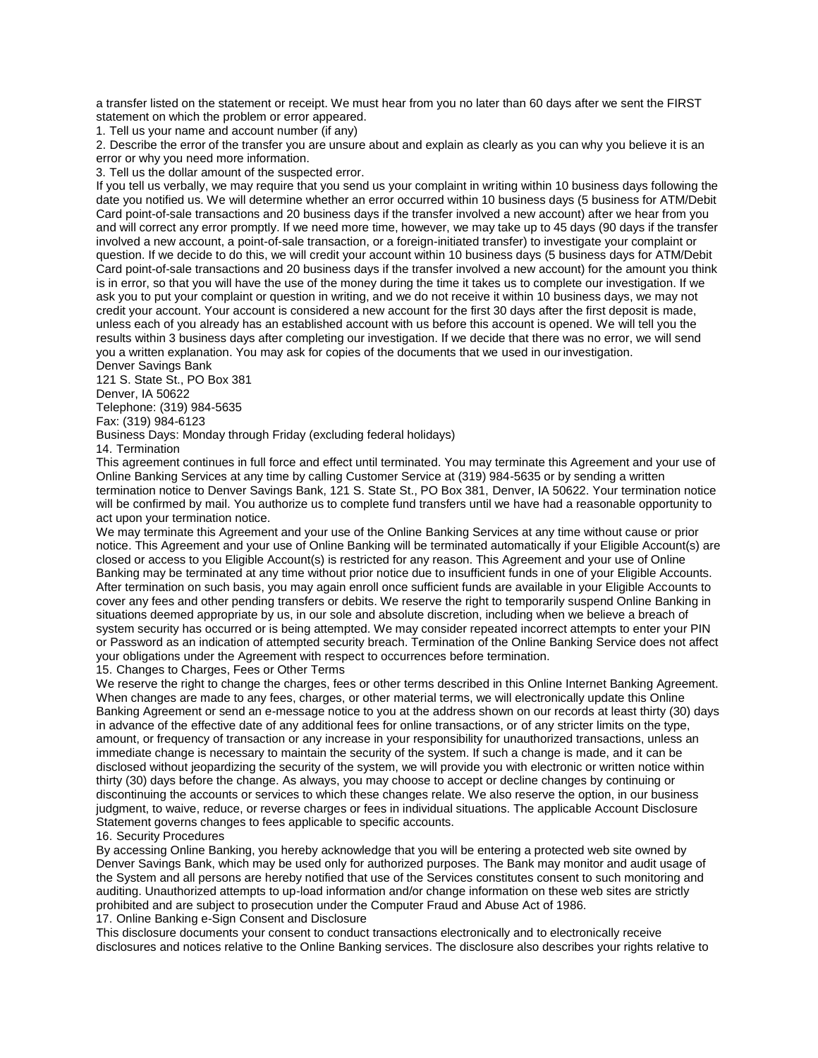a transfer listed on the statement or receipt. We must hear from you no later than 60 days after we sent the FIRST statement on which the problem or error appeared.

1. Tell us your name and account number (if any)

2. Describe the error of the transfer you are unsure about and explain as clearly as you can why you believe it is an error or why you need more information.

3. Tell us the dollar amount of the suspected error.

If you tell us verbally, we may require that you send us your complaint in writing within 10 business days following the date you notified us. We will determine whether an error occurred within 10 business days (5 business for ATM/Debit Card point-of-sale transactions and 20 business days if the transfer involved a new account) after we hear from you and will correct any error promptly. If we need more time, however, we may take up to 45 days (90 days if the transfer involved a new account, a point-of-sale transaction, or a foreign-initiated transfer) to investigate your complaint or question. If we decide to do this, we will credit your account within 10 business days (5 business days for ATM/Debit Card point-of-sale transactions and 20 business days if the transfer involved a new account) for the amount you think is in error, so that you will have the use of the money during the time it takes us to complete our investigation. If we ask you to put your complaint or question in writing, and we do not receive it within 10 business days, we may not credit your account. Your account is considered a new account for the first 30 days after the first deposit is made, unless each of you already has an established account with us before this account is opened. We will tell you the results within 3 business days after completing our investigation. If we decide that there was no error, we will send you a written explanation. You may ask for copies of the documents that we used in ourinvestigation. Denver Savings Bank

121 S. State St., PO Box 381

Denver, IA 50622

Telephone: (319) 984-5635

Fax: (319) 984-6123

Business Days: Monday through Friday (excluding federal holidays)

14. Termination

This agreement continues in full force and effect until terminated. You may terminate this Agreement and your use of Online Banking Services at any time by calling Customer Service at (319) 984-5635 or by sending a written termination notice to Denver Savings Bank, 121 S. State St., PO Box 381, Denver, IA 50622. Your termination notice will be confirmed by mail. You authorize us to complete fund transfers until we have had a reasonable opportunity to act upon your termination notice.

We may terminate this Agreement and your use of the Online Banking Services at any time without cause or prior notice. This Agreement and your use of Online Banking will be terminated automatically if your Eligible Account(s) are closed or access to you Eligible Account(s) is restricted for any reason. This Agreement and your use of Online Banking may be terminated at any time without prior notice due to insufficient funds in one of your Eligible Accounts. After termination on such basis, you may again enroll once sufficient funds are available in your Eligible Accounts to cover any fees and other pending transfers or debits. We reserve the right to temporarily suspend Online Banking in situations deemed appropriate by us, in our sole and absolute discretion, including when we believe a breach of system security has occurred or is being attempted. We may consider repeated incorrect attempts to enter your PIN or Password as an indication of attempted security breach. Termination of the Online Banking Service does not affect your obligations under the Agreement with respect to occurrences before termination.

15. Changes to Charges, Fees or Other Terms

We reserve the right to change the charges, fees or other terms described in this Online Internet Banking Agreement. When changes are made to any fees, charges, or other material terms, we will electronically update this Online Banking Agreement or send an e-message notice to you at the address shown on our records at least thirty (30) days in advance of the effective date of any additional fees for online transactions, or of any stricter limits on the type, amount, or frequency of transaction or any increase in your responsibility for unauthorized transactions, unless an immediate change is necessary to maintain the security of the system. If such a change is made, and it can be disclosed without jeopardizing the security of the system, we will provide you with electronic or written notice within thirty (30) days before the change. As always, you may choose to accept or decline changes by continuing or discontinuing the accounts or services to which these changes relate. We also reserve the option, in our business judgment, to waive, reduce, or reverse charges or fees in individual situations. The applicable Account Disclosure Statement governs changes to fees applicable to specific accounts.

## 16. Security Procedures

By accessing Online Banking, you hereby acknowledge that you will be entering a protected web site owned by Denver Savings Bank, which may be used only for authorized purposes. The Bank may monitor and audit usage of the System and all persons are hereby notified that use of the Services constitutes consent to such monitoring and auditing. Unauthorized attempts to up-load information and/or change information on these web sites are strictly prohibited and are subject to prosecution under the Computer Fraud and Abuse Act of 1986.

17. Online Banking e-Sign Consent and Disclosure

This disclosure documents your consent to conduct transactions electronically and to electronically receive disclosures and notices relative to the Online Banking services. The disclosure also describes your rights relative to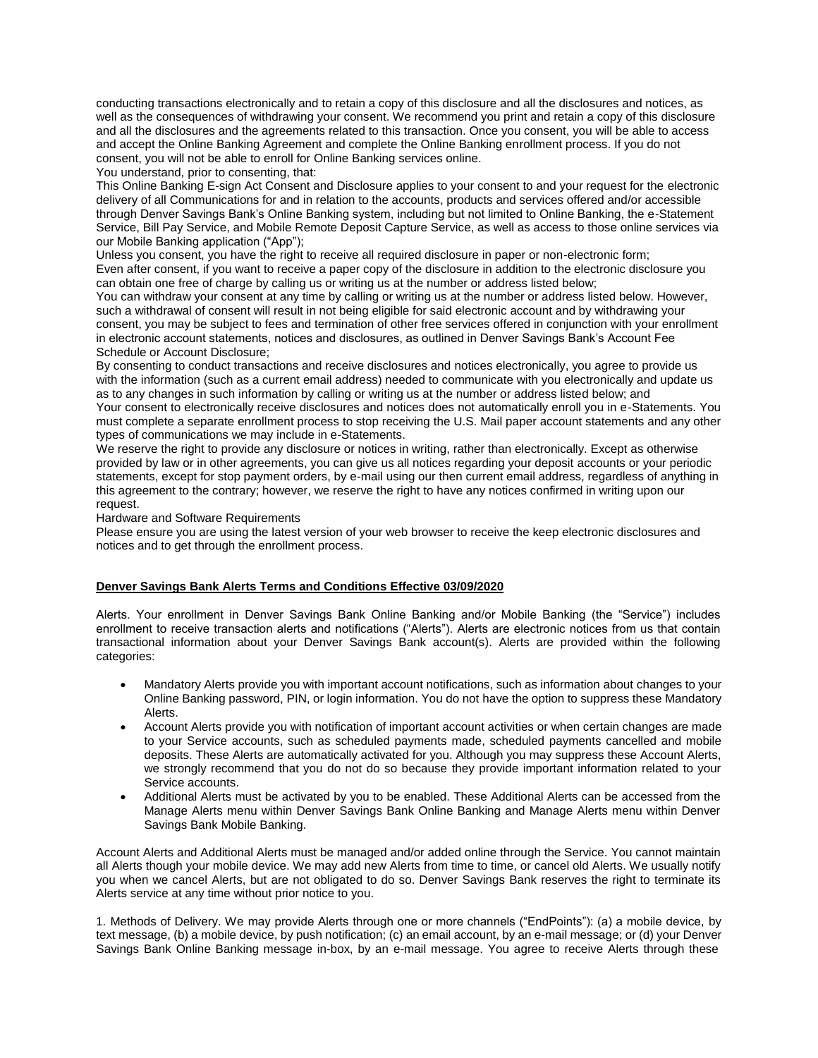conducting transactions electronically and to retain a copy of this disclosure and all the disclosures and notices, as well as the consequences of withdrawing your consent. We recommend you print and retain a copy of this disclosure and all the disclosures and the agreements related to this transaction. Once you consent, you will be able to access and accept the Online Banking Agreement and complete the Online Banking enrollment process. If you do not consent, you will not be able to enroll for Online Banking services online.

You understand, prior to consenting, that:

This Online Banking E-sign Act Consent and Disclosure applies to your consent to and your request for the electronic delivery of all Communications for and in relation to the accounts, products and services offered and/or accessible through Denver Savings Bank's Online Banking system, including but not limited to Online Banking, the e-Statement Service, Bill Pay Service, and Mobile Remote Deposit Capture Service, as well as access to those online services via our Mobile Banking application ("App");

Unless you consent, you have the right to receive all required disclosure in paper or non-electronic form; Even after consent, if you want to receive a paper copy of the disclosure in addition to the electronic disclosure you can obtain one free of charge by calling us or writing us at the number or address listed below;

You can withdraw your consent at any time by calling or writing us at the number or address listed below. However, such a withdrawal of consent will result in not being eligible for said electronic account and by withdrawing your consent, you may be subject to fees and termination of other free services offered in conjunction with your enrollment in electronic account statements, notices and disclosures, as outlined in Denver Savings Bank's Account Fee Schedule or Account Disclosure;

By consenting to conduct transactions and receive disclosures and notices electronically, you agree to provide us with the information (such as a current email address) needed to communicate with you electronically and update us as to any changes in such information by calling or writing us at the number or address listed below; and

Your consent to electronically receive disclosures and notices does not automatically enroll you in e-Statements. You must complete a separate enrollment process to stop receiving the U.S. Mail paper account statements and any other types of communications we may include in e-Statements.

We reserve the right to provide any disclosure or notices in writing, rather than electronically. Except as otherwise provided by law or in other agreements, you can give us all notices regarding your deposit accounts or your periodic statements, except for stop payment orders, by e-mail using our then current email address, regardless of anything in this agreement to the contrary; however, we reserve the right to have any notices confirmed in writing upon our request.

Hardware and Software Requirements

Please ensure you are using the latest version of your web browser to receive the keep electronic disclosures and notices and to get through the enrollment process.

## **Denver Savings Bank Alerts Terms and Conditions Effective 03/09/2020**

Alerts. Your enrollment in Denver Savings Bank Online Banking and/or Mobile Banking (the "Service") includes enrollment to receive transaction alerts and notifications ("Alerts"). Alerts are electronic notices from us that contain transactional information about your Denver Savings Bank account(s). Alerts are provided within the following categories:

- Mandatory Alerts provide you with important account notifications, such as information about changes to your Online Banking password, PIN, or login information. You do not have the option to suppress these Mandatory Alerts.
- Account Alerts provide you with notification of important account activities or when certain changes are made to your Service accounts, such as scheduled payments made, scheduled payments cancelled and mobile deposits. These Alerts are automatically activated for you. Although you may suppress these Account Alerts, we strongly recommend that you do not do so because they provide important information related to your Service accounts.
- Additional Alerts must be activated by you to be enabled. These Additional Alerts can be accessed from the Manage Alerts menu within Denver Savings Bank Online Banking and Manage Alerts menu within Denver Savings Bank Mobile Banking.

Account Alerts and Additional Alerts must be managed and/or added online through the Service. You cannot maintain all Alerts though your mobile device. We may add new Alerts from time to time, or cancel old Alerts. We usually notify you when we cancel Alerts, but are not obligated to do so. Denver Savings Bank reserves the right to terminate its Alerts service at any time without prior notice to you.

1. Methods of Delivery. We may provide Alerts through one or more channels ("EndPoints"): (a) a mobile device, by text message, (b) a mobile device, by push notification; (c) an email account, by an e-mail message; or (d) your Denver Savings Bank Online Banking message in-box, by an e-mail message. You agree to receive Alerts through these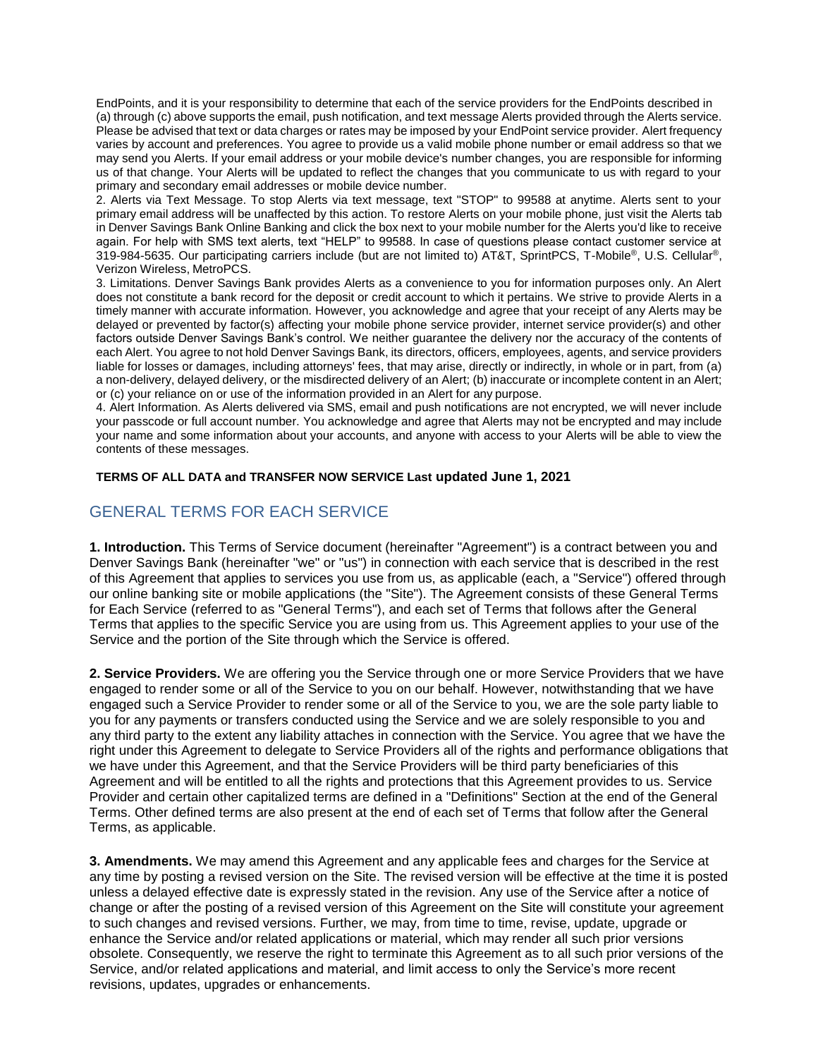EndPoints, and it is your responsibility to determine that each of the service providers for the EndPoints described in (a) through (c) above supports the email, push notification, and text message Alerts provided through the Alerts service. Please be advised that text or data charges or rates may be imposed by your EndPoint service provider. Alert frequency varies by account and preferences. You agree to provide us a valid mobile phone number or email address so that we may send you Alerts. If your email address or your mobile device's number changes, you are responsible for informing us of that change. Your Alerts will be updated to reflect the changes that you communicate to us with regard to your primary and secondary email addresses or mobile device number.

2. Alerts via Text Message. To stop Alerts via text message, text "STOP" to 99588 at anytime. Alerts sent to your primary email address will be unaffected by this action. To restore Alerts on your mobile phone, just visit the Alerts tab in Denver Savings Bank Online Banking and click the box next to your mobile number for the Alerts you'd like to receive again. For help with SMS text alerts, text "HELP" to 99588. In case of questions please contact customer service at 319-984-5635. Our participating carriers include (but are not limited to) AT&T, SprintPCS, T-Mobile®, U.S. Cellular®, Verizon Wireless, MetroPCS.

3. Limitations. Denver Savings Bank provides Alerts as a convenience to you for information purposes only. An Alert does not constitute a bank record for the deposit or credit account to which it pertains. We strive to provide Alerts in a timely manner with accurate information. However, you acknowledge and agree that your receipt of any Alerts may be delayed or prevented by factor(s) affecting your mobile phone service provider, internet service provider(s) and other factors outside Denver Savings Bank's control. We neither guarantee the delivery nor the accuracy of the contents of each Alert. You agree to not hold Denver Savings Bank, its directors, officers, employees, agents, and service providers liable for losses or damages, including attorneys' fees, that may arise, directly or indirectly, in whole or in part, from (a) a non-delivery, delayed delivery, or the misdirected delivery of an Alert; (b) inaccurate or incomplete content in an Alert; or (c) your reliance on or use of the information provided in an Alert for any purpose.

4. Alert Information. As Alerts delivered via SMS, email and push notifications are not encrypted, we will never include your passcode or full account number. You acknowledge and agree that Alerts may not be encrypted and may include your name and some information about your accounts, and anyone with access to your Alerts will be able to view the contents of these messages.

# **TERMS OF ALL DATA and TRANSFER NOW SERVICE Last updated June 1, 2021**

# GENERAL TERMS FOR EACH SERVICE

**1. Introduction.** This Terms of Service document (hereinafter "Agreement") is a contract between you and Denver Savings Bank (hereinafter "we" or "us") in connection with each service that is described in the rest of this Agreement that applies to services you use from us, as applicable (each, a "Service") offered through our online banking site or mobile applications (the "Site"). The Agreement consists of these General Terms for Each Service (referred to as "General Terms"), and each set of Terms that follows after the General Terms that applies to the specific Service you are using from us. This Agreement applies to your use of the Service and the portion of the Site through which the Service is offered.

**2. Service Providers.** We are offering you the Service through one or more Service Providers that we have engaged to render some or all of the Service to you on our behalf. However, notwithstanding that we have engaged such a Service Provider to render some or all of the Service to you, we are the sole party liable to you for any payments or transfers conducted using the Service and we are solely responsible to you and any third party to the extent any liability attaches in connection with the Service. You agree that we have the right under this Agreement to delegate to Service Providers all of the rights and performance obligations that we have under this Agreement, and that the Service Providers will be third party beneficiaries of this Agreement and will be entitled to all the rights and protections that this Agreement provides to us. Service Provider and certain other capitalized terms are defined in a "Definitions" Section at the end of the General Terms. Other defined terms are also present at the end of each set of Terms that follow after the General Terms, as applicable.

**3. Amendments.** We may amend this Agreement and any applicable fees and charges for the Service at any time by posting a revised version on the Site. The revised version will be effective at the time it is posted unless a delayed effective date is expressly stated in the revision. Any use of the Service after a notice of change or after the posting of a revised version of this Agreement on the Site will constitute your agreement to such changes and revised versions. Further, we may, from time to time, revise, update, upgrade or enhance the Service and/or related applications or material, which may render all such prior versions obsolete. Consequently, we reserve the right to terminate this Agreement as to all such prior versions of the Service, and/or related applications and material, and limit access to only the Service's more recent revisions, updates, upgrades or enhancements.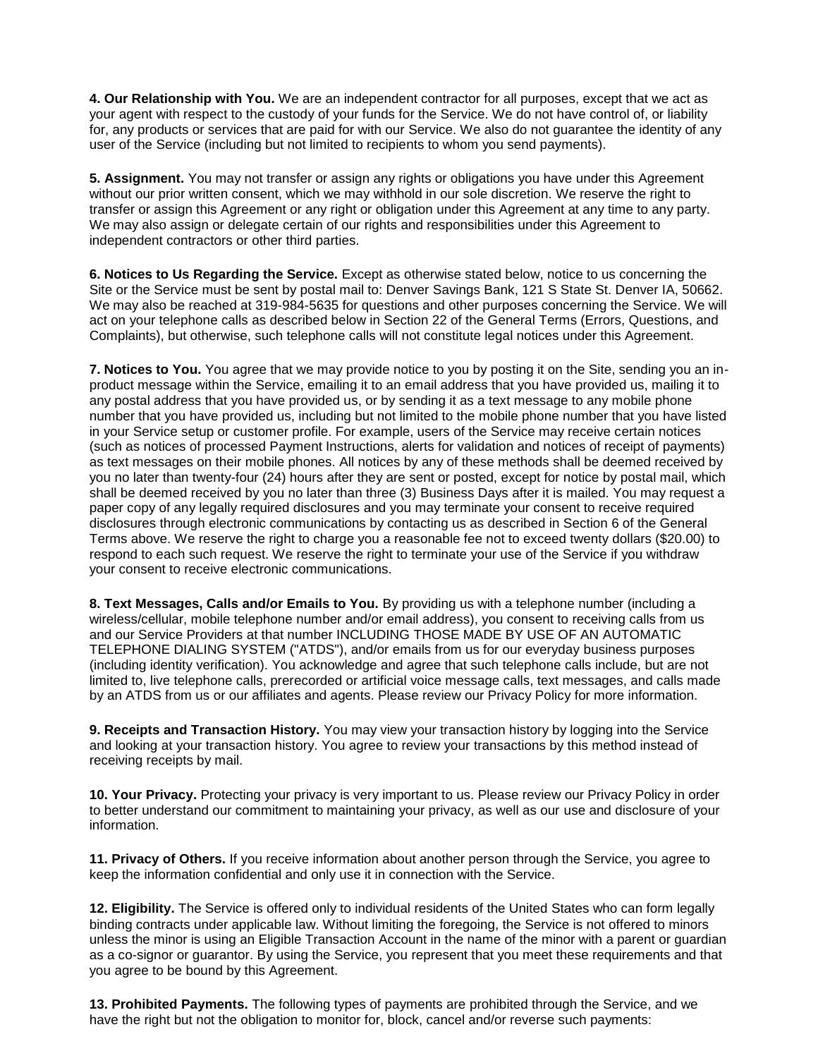**4. Our Relationship with You.** We are an independent contractor for all purposes, except that we act as your agent with respect to the custody of your funds for the Service. We do not have control of, or liability for, any products or services that are paid for with our Service. We also do not guarantee the identity of any user of the Service (including but not limited to recipients to whom you send payments).

**5. Assignment.** You may not transfer or assign any rights or obligations you have under this Agreement without our prior written consent, which we may withhold in our sole discretion. We reserve the right to transfer or assign this Agreement or any right or obligation under this Agreement at any time to any party. We may also assign or delegate certain of our rights and responsibilities under this Agreement to independent contractors or other third parties.

**6. Notices to Us Regarding the Service.** Except as otherwise stated below, notice to us concerning the Site or the Service must be sent by postal mail to: Denver Savings Bank, 121 S State St. Denver IA, 50662. We may also be reached at 319-984-5635 for questions and other purposes concerning the Service. We will act on your telephone calls as described below in Section 22 of the General Terms (Errors, Questions, and Complaints), but otherwise, such telephone calls will not constitute legal notices under this Agreement.

**7. Notices to You.** You agree that we may provide notice to you by posting it on the Site, sending you an inproduct message within the Service, emailing it to an email address that you have provided us, mailing it to any postal address that you have provided us, or by sending it as a text message to any mobile phone number that you have provided us, including but not limited to the mobile phone number that you have listed in your Service setup or customer profile. For example, users of the Service may receive certain notices (such as notices of processed Payment Instructions, alerts for validation and notices of receipt of payments) as text messages on their mobile phones. All notices by any of these methods shall be deemed received by you no later than twenty-four (24) hours after they are sent or posted, except for notice by postal mail, which shall be deemed received by you no later than three (3) Business Days after it is mailed. You may request a paper copy of any legally required disclosures and you may terminate your consent to receive required disclosures through electronic communications by contacting us as described in Section 6 of the General Terms above. We reserve the right to charge you a reasonable fee not to exceed twenty dollars (\$20.00) to respond to each such request. We reserve the right to terminate your use of the Service if you withdraw your consent to receive electronic communications.

**8. Text Messages, Calls and/or Emails to You.** By providing us with a telephone number (including a wireless/cellular, mobile telephone number and/or email address), you consent to receiving calls from us and our Service Providers at that number INCLUDING THOSE MADE BY USE OF AN AUTOMATIC TELEPHONE DIALING SYSTEM ("ATDS"), and/or emails from us for our everyday business purposes (including identity verification). You acknowledge and agree that such telephone calls include, but are not limited to, live telephone calls, prerecorded or artificial voice message calls, text messages, and calls made by an ATDS from us or our affiliates and agents. Please review our Privacy Policy for more information.

**9. Receipts and Transaction History.** You may view your transaction history by logging into the Service and looking at your transaction history. You agree to review your transactions by this method instead of receiving receipts by mail.

**10. Your Privacy.** Protecting your privacy is very important to us. Please review our Privacy Policy in order to better understand our commitment to maintaining your privacy, as well as our use and disclosure of your information.

**11. Privacy of Others.** If you receive information about another person through the Service, you agree to keep the information confidential and only use it in connection with the Service.

**12. Eligibility.** The Service is offered only to individual residents of the United States who can form legally binding contracts under applicable law. Without limiting the foregoing, the Service is not offered to minors unless the minor is using an Eligible Transaction Account in the name of the minor with a parent or guardian as a co-signor or guarantor. By using the Service, you represent that you meet these requirements and that you agree to be bound by this Agreement.

**13. Prohibited Payments.** The following types of payments are prohibited through the Service, and we have the right but not the obligation to monitor for, block, cancel and/or reverse such payments: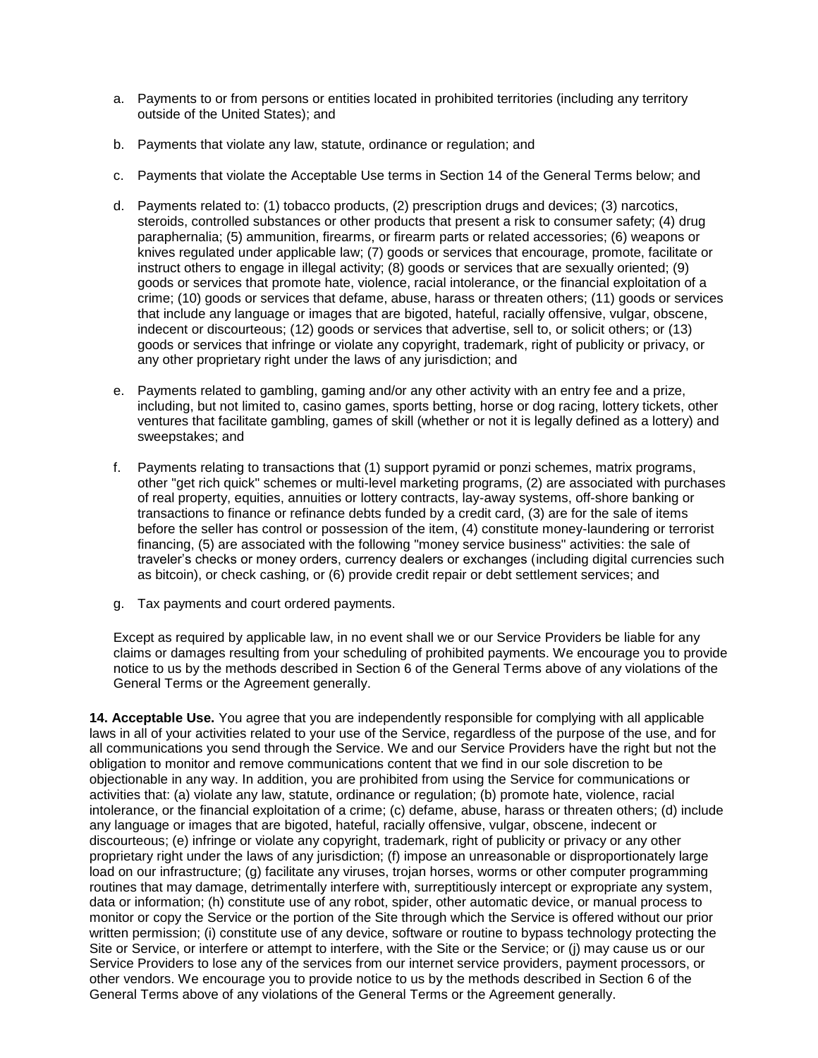- a. Payments to or from persons or entities located in prohibited territories (including any territory outside of the United States); and
- b. Payments that violate any law, statute, ordinance or regulation; and
- c. Payments that violate the Acceptable Use terms in Section 14 of the General Terms below; and
- d. Payments related to: (1) tobacco products, (2) prescription drugs and devices; (3) narcotics, steroids, controlled substances or other products that present a risk to consumer safety; (4) drug paraphernalia; (5) ammunition, firearms, or firearm parts or related accessories; (6) weapons or knives regulated under applicable law; (7) goods or services that encourage, promote, facilitate or instruct others to engage in illegal activity; (8) goods or services that are sexually oriented; (9) goods or services that promote hate, violence, racial intolerance, or the financial exploitation of a crime; (10) goods or services that defame, abuse, harass or threaten others; (11) goods or services that include any language or images that are bigoted, hateful, racially offensive, vulgar, obscene, indecent or discourteous; (12) goods or services that advertise, sell to, or solicit others; or (13) goods or services that infringe or violate any copyright, trademark, right of publicity or privacy, or any other proprietary right under the laws of any jurisdiction; and
- e. Payments related to gambling, gaming and/or any other activity with an entry fee and a prize, including, but not limited to, casino games, sports betting, horse or dog racing, lottery tickets, other ventures that facilitate gambling, games of skill (whether or not it is legally defined as a lottery) and sweepstakes; and
- f. Payments relating to transactions that (1) support pyramid or ponzi schemes, matrix programs, other "get rich quick" schemes or multi-level marketing programs, (2) are associated with purchases of real property, equities, annuities or lottery contracts, lay-away systems, off-shore banking or transactions to finance or refinance debts funded by a credit card, (3) are for the sale of items before the seller has control or possession of the item, (4) constitute money-laundering or terrorist financing, (5) are associated with the following "money service business" activities: the sale of traveler's checks or money orders, currency dealers or exchanges (including digital currencies such as bitcoin), or check cashing, or (6) provide credit repair or debt settlement services; and
- g. Tax payments and court ordered payments.

Except as required by applicable law, in no event shall we or our Service Providers be liable for any claims or damages resulting from your scheduling of prohibited payments. We encourage you to provide notice to us by the methods described in Section 6 of the General Terms above of any violations of the General Terms or the Agreement generally.

**14. Acceptable Use.** You agree that you are independently responsible for complying with all applicable laws in all of your activities related to your use of the Service, regardless of the purpose of the use, and for all communications you send through the Service. We and our Service Providers have the right but not the obligation to monitor and remove communications content that we find in our sole discretion to be objectionable in any way. In addition, you are prohibited from using the Service for communications or activities that: (a) violate any law, statute, ordinance or regulation; (b) promote hate, violence, racial intolerance, or the financial exploitation of a crime; (c) defame, abuse, harass or threaten others; (d) include any language or images that are bigoted, hateful, racially offensive, vulgar, obscene, indecent or discourteous; (e) infringe or violate any copyright, trademark, right of publicity or privacy or any other proprietary right under the laws of any jurisdiction; (f) impose an unreasonable or disproportionately large load on our infrastructure; (g) facilitate any viruses, trojan horses, worms or other computer programming routines that may damage, detrimentally interfere with, surreptitiously intercept or expropriate any system, data or information; (h) constitute use of any robot, spider, other automatic device, or manual process to monitor or copy the Service or the portion of the Site through which the Service is offered without our prior written permission; (i) constitute use of any device, software or routine to bypass technology protecting the Site or Service, or interfere or attempt to interfere, with the Site or the Service; or (j) may cause us or our Service Providers to lose any of the services from our internet service providers, payment processors, or other vendors. We encourage you to provide notice to us by the methods described in Section 6 of the General Terms above of any violations of the General Terms or the Agreement generally.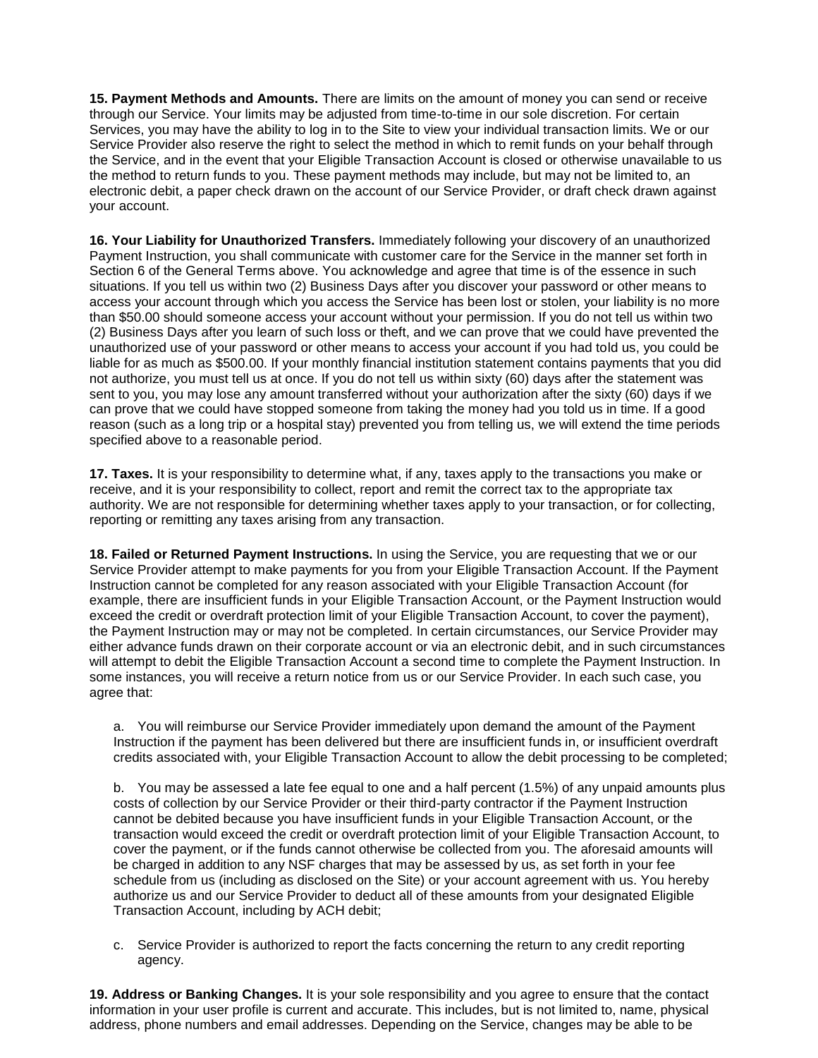**15. Payment Methods and Amounts.** There are limits on the amount of money you can send or receive through our Service. Your limits may be adjusted from time-to-time in our sole discretion. For certain Services, you may have the ability to log in to the Site to view your individual transaction limits. We or our Service Provider also reserve the right to select the method in which to remit funds on your behalf through the Service, and in the event that your Eligible Transaction Account is closed or otherwise unavailable to us the method to return funds to you. These payment methods may include, but may not be limited to, an electronic debit, a paper check drawn on the account of our Service Provider, or draft check drawn against your account.

**16. Your Liability for Unauthorized Transfers.** Immediately following your discovery of an unauthorized Payment Instruction, you shall communicate with customer care for the Service in the manner set forth in Section 6 of the General Terms above. You acknowledge and agree that time is of the essence in such situations. If you tell us within two (2) Business Days after you discover your password or other means to access your account through which you access the Service has been lost or stolen, your liability is no more than \$50.00 should someone access your account without your permission. If you do not tell us within two (2) Business Days after you learn of such loss or theft, and we can prove that we could have prevented the unauthorized use of your password or other means to access your account if you had told us, you could be liable for as much as \$500.00. If your monthly financial institution statement contains payments that you did not authorize, you must tell us at once. If you do not tell us within sixty (60) days after the statement was sent to you, you may lose any amount transferred without your authorization after the sixty (60) days if we can prove that we could have stopped someone from taking the money had you told us in time. If a good reason (such as a long trip or a hospital stay) prevented you from telling us, we will extend the time periods specified above to a reasonable period.

**17. Taxes.** It is your responsibility to determine what, if any, taxes apply to the transactions you make or receive, and it is your responsibility to collect, report and remit the correct tax to the appropriate tax authority. We are not responsible for determining whether taxes apply to your transaction, or for collecting, reporting or remitting any taxes arising from any transaction.

**18. Failed or Returned Payment Instructions.** In using the Service, you are requesting that we or our Service Provider attempt to make payments for you from your Eligible Transaction Account. If the Payment Instruction cannot be completed for any reason associated with your Eligible Transaction Account (for example, there are insufficient funds in your Eligible Transaction Account, or the Payment Instruction would exceed the credit or overdraft protection limit of your Eligible Transaction Account, to cover the payment), the Payment Instruction may or may not be completed. In certain circumstances, our Service Provider may either advance funds drawn on their corporate account or via an electronic debit, and in such circumstances will attempt to debit the Eligible Transaction Account a second time to complete the Payment Instruction. In some instances, you will receive a return notice from us or our Service Provider. In each such case, you agree that:

a. You will reimburse our Service Provider immediately upon demand the amount of the Payment Instruction if the payment has been delivered but there are insufficient funds in, or insufficient overdraft credits associated with, your Eligible Transaction Account to allow the debit processing to be completed;

b. You may be assessed a late fee equal to one and a half percent (1.5%) of any unpaid amounts plus costs of collection by our Service Provider or their third-party contractor if the Payment Instruction cannot be debited because you have insufficient funds in your Eligible Transaction Account, or the transaction would exceed the credit or overdraft protection limit of your Eligible Transaction Account, to cover the payment, or if the funds cannot otherwise be collected from you. The aforesaid amounts will be charged in addition to any NSF charges that may be assessed by us, as set forth in your fee schedule from us (including as disclosed on the Site) or your account agreement with us. You hereby authorize us and our Service Provider to deduct all of these amounts from your designated Eligible Transaction Account, including by ACH debit;

c. Service Provider is authorized to report the facts concerning the return to any credit reporting agency.

**19. Address or Banking Changes.** It is your sole responsibility and you agree to ensure that the contact information in your user profile is current and accurate. This includes, but is not limited to, name, physical address, phone numbers and email addresses. Depending on the Service, changes may be able to be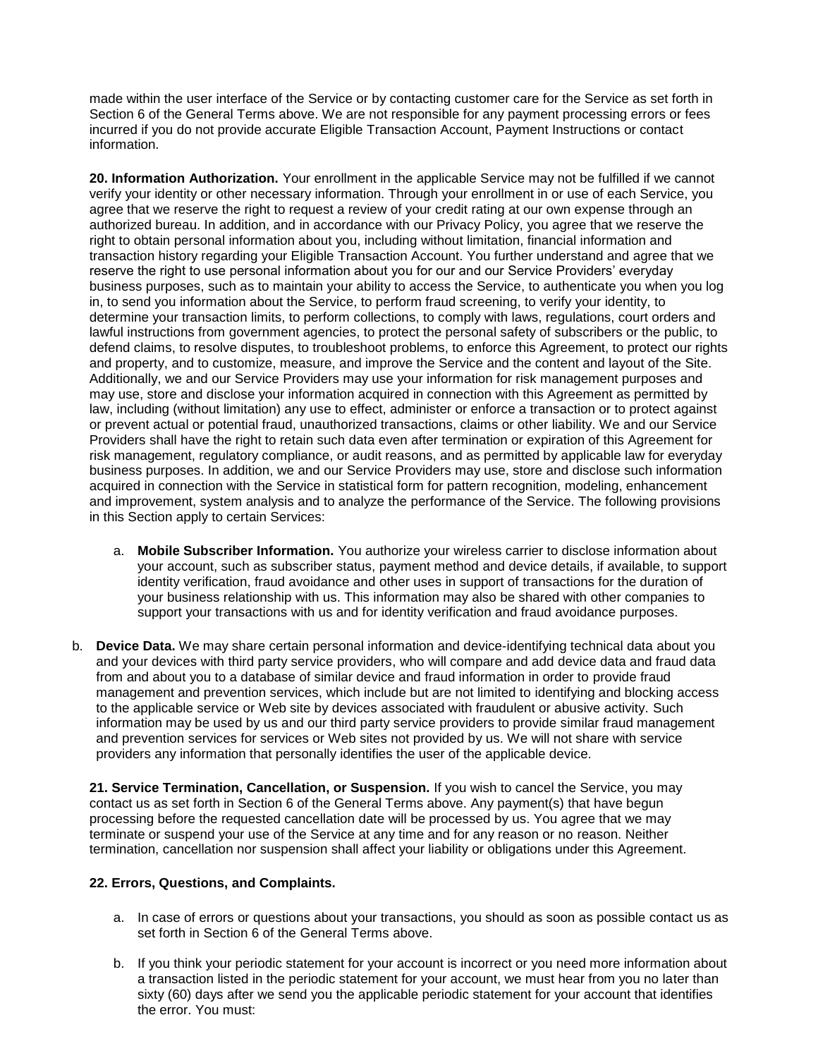made within the user interface of the Service or by contacting customer care for the Service as set forth in Section 6 of the General Terms above. We are not responsible for any payment processing errors or fees incurred if you do not provide accurate Eligible Transaction Account, Payment Instructions or contact information.

**20. Information Authorization.** Your enrollment in the applicable Service may not be fulfilled if we cannot verify your identity or other necessary information. Through your enrollment in or use of each Service, you agree that we reserve the right to request a review of your credit rating at our own expense through an authorized bureau. In addition, and in accordance with our Privacy Policy, you agree that we reserve the right to obtain personal information about you, including without limitation, financial information and transaction history regarding your Eligible Transaction Account. You further understand and agree that we reserve the right to use personal information about you for our and our Service Providers' everyday business purposes, such as to maintain your ability to access the Service, to authenticate you when you log in, to send you information about the Service, to perform fraud screening, to verify your identity, to determine your transaction limits, to perform collections, to comply with laws, regulations, court orders and lawful instructions from government agencies, to protect the personal safety of subscribers or the public, to defend claims, to resolve disputes, to troubleshoot problems, to enforce this Agreement, to protect our rights and property, and to customize, measure, and improve the Service and the content and layout of the Site. Additionally, we and our Service Providers may use your information for risk management purposes and may use, store and disclose your information acquired in connection with this Agreement as permitted by law, including (without limitation) any use to effect, administer or enforce a transaction or to protect against or prevent actual or potential fraud, unauthorized transactions, claims or other liability. We and our Service Providers shall have the right to retain such data even after termination or expiration of this Agreement for risk management, regulatory compliance, or audit reasons, and as permitted by applicable law for everyday business purposes. In addition, we and our Service Providers may use, store and disclose such information acquired in connection with the Service in statistical form for pattern recognition, modeling, enhancement and improvement, system analysis and to analyze the performance of the Service. The following provisions in this Section apply to certain Services:

- a. **Mobile Subscriber Information.** You authorize your wireless carrier to disclose information about your account, such as subscriber status, payment method and device details, if available, to support identity verification, fraud avoidance and other uses in support of transactions for the duration of your business relationship with us. This information may also be shared with other companies to support your transactions with us and for identity verification and fraud avoidance purposes.
- b. **Device Data.** We may share certain personal information and device-identifying technical data about you and your devices with third party service providers, who will compare and add device data and fraud data from and about you to a database of similar device and fraud information in order to provide fraud management and prevention services, which include but are not limited to identifying and blocking access to the applicable service or Web site by devices associated with fraudulent or abusive activity. Such information may be used by us and our third party service providers to provide similar fraud management and prevention services for services or Web sites not provided by us. We will not share with service providers any information that personally identifies the user of the applicable device.

**21. Service Termination, Cancellation, or Suspension.** If you wish to cancel the Service, you may contact us as set forth in Section 6 of the General Terms above. Any payment(s) that have begun processing before the requested cancellation date will be processed by us. You agree that we may terminate or suspend your use of the Service at any time and for any reason or no reason. Neither termination, cancellation nor suspension shall affect your liability or obligations under this Agreement.

# **22. Errors, Questions, and Complaints.**

- a. In case of errors or questions about your transactions, you should as soon as possible contact us as set forth in Section 6 of the General Terms above.
- b. If you think your periodic statement for your account is incorrect or you need more information about a transaction listed in the periodic statement for your account, we must hear from you no later than sixty (60) days after we send you the applicable periodic statement for your account that identifies the error. You must: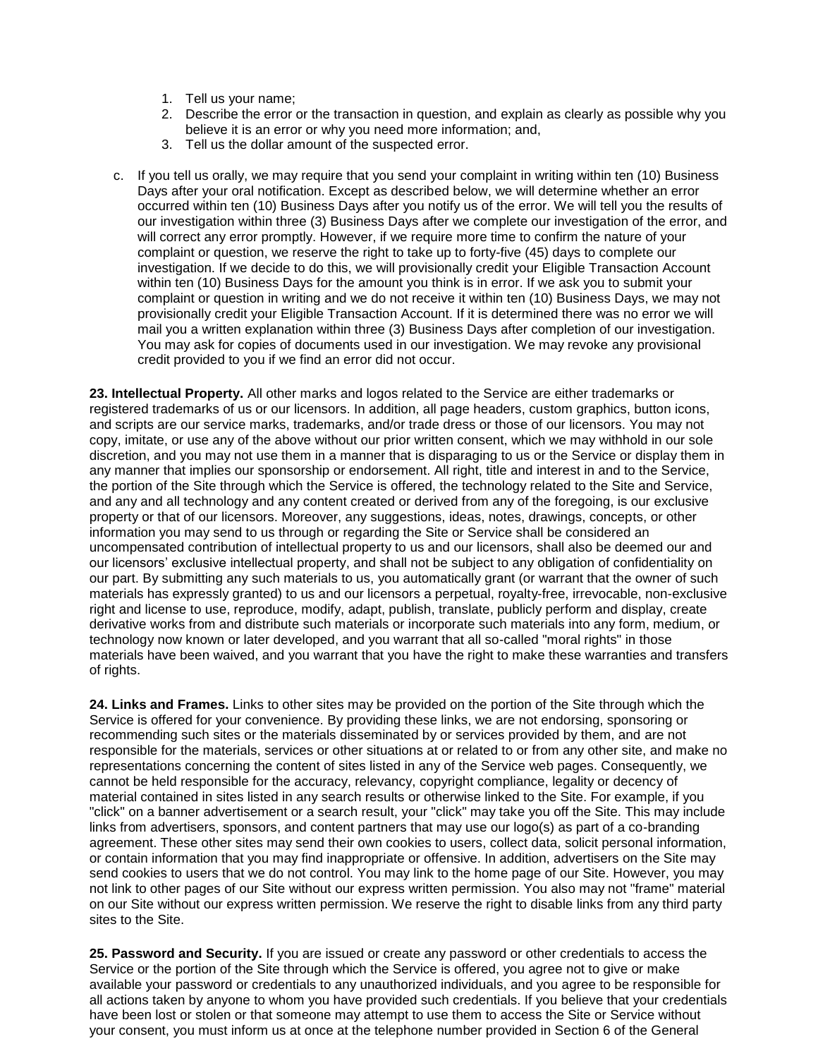- 1. Tell us your name;
- 2. Describe the error or the transaction in question, and explain as clearly as possible why you believe it is an error or why you need more information; and,
- 3. Tell us the dollar amount of the suspected error.
- c. If you tell us orally, we may require that you send your complaint in writing within ten (10) Business Days after your oral notification. Except as described below, we will determine whether an error occurred within ten (10) Business Days after you notify us of the error. We will tell you the results of our investigation within three (3) Business Days after we complete our investigation of the error, and will correct any error promptly. However, if we require more time to confirm the nature of your complaint or question, we reserve the right to take up to forty-five (45) days to complete our investigation. If we decide to do this, we will provisionally credit your Eligible Transaction Account within ten (10) Business Days for the amount you think is in error. If we ask you to submit your complaint or question in writing and we do not receive it within ten (10) Business Days, we may not provisionally credit your Eligible Transaction Account. If it is determined there was no error we will mail you a written explanation within three (3) Business Days after completion of our investigation. You may ask for copies of documents used in our investigation. We may revoke any provisional credit provided to you if we find an error did not occur.

**23. Intellectual Property.** All other marks and logos related to the Service are either trademarks or registered trademarks of us or our licensors. In addition, all page headers, custom graphics, button icons, and scripts are our service marks, trademarks, and/or trade dress or those of our licensors. You may not copy, imitate, or use any of the above without our prior written consent, which we may withhold in our sole discretion, and you may not use them in a manner that is disparaging to us or the Service or display them in any manner that implies our sponsorship or endorsement. All right, title and interest in and to the Service, the portion of the Site through which the Service is offered, the technology related to the Site and Service, and any and all technology and any content created or derived from any of the foregoing, is our exclusive property or that of our licensors. Moreover, any suggestions, ideas, notes, drawings, concepts, or other information you may send to us through or regarding the Site or Service shall be considered an uncompensated contribution of intellectual property to us and our licensors, shall also be deemed our and our licensors' exclusive intellectual property, and shall not be subject to any obligation of confidentiality on our part. By submitting any such materials to us, you automatically grant (or warrant that the owner of such materials has expressly granted) to us and our licensors a perpetual, royalty-free, irrevocable, non-exclusive right and license to use, reproduce, modify, adapt, publish, translate, publicly perform and display, create derivative works from and distribute such materials or incorporate such materials into any form, medium, or technology now known or later developed, and you warrant that all so-called "moral rights" in those materials have been waived, and you warrant that you have the right to make these warranties and transfers of rights.

**24. Links and Frames.** Links to other sites may be provided on the portion of the Site through which the Service is offered for your convenience. By providing these links, we are not endorsing, sponsoring or recommending such sites or the materials disseminated by or services provided by them, and are not responsible for the materials, services or other situations at or related to or from any other site, and make no representations concerning the content of sites listed in any of the Service web pages. Consequently, we cannot be held responsible for the accuracy, relevancy, copyright compliance, legality or decency of material contained in sites listed in any search results or otherwise linked to the Site. For example, if you "click" on a banner advertisement or a search result, your "click" may take you off the Site. This may include links from advertisers, sponsors, and content partners that may use our logo(s) as part of a co-branding agreement. These other sites may send their own cookies to users, collect data, solicit personal information, or contain information that you may find inappropriate or offensive. In addition, advertisers on the Site may send cookies to users that we do not control. You may link to the home page of our Site. However, you may not link to other pages of our Site without our express written permission. You also may not "frame" material on our Site without our express written permission. We reserve the right to disable links from any third party sites to the Site.

**25. Password and Security.** If you are issued or create any password or other credentials to access the Service or the portion of the Site through which the Service is offered, you agree not to give or make available your password or credentials to any unauthorized individuals, and you agree to be responsible for all actions taken by anyone to whom you have provided such credentials. If you believe that your credentials have been lost or stolen or that someone may attempt to use them to access the Site or Service without your consent, you must inform us at once at the telephone number provided in Section 6 of the General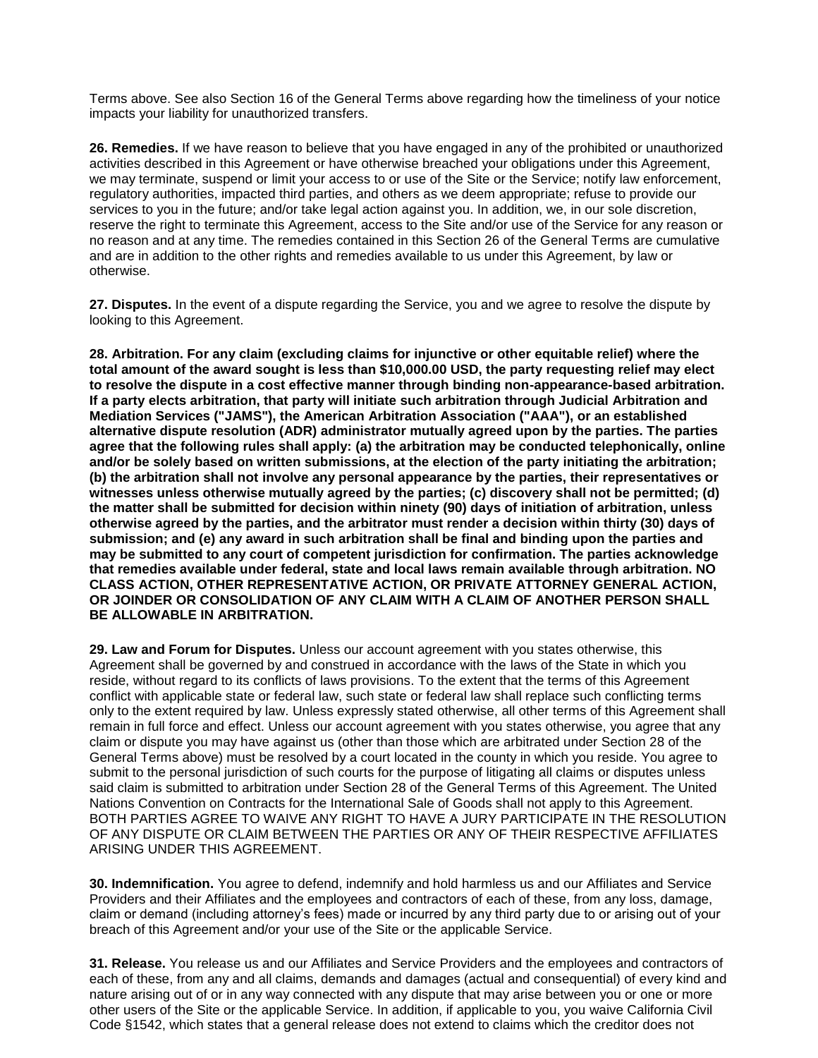Terms above. See also Section 16 of the General Terms above regarding how the timeliness of your notice impacts your liability for unauthorized transfers.

**26. Remedies.** If we have reason to believe that you have engaged in any of the prohibited or unauthorized activities described in this Agreement or have otherwise breached your obligations under this Agreement, we may terminate, suspend or limit your access to or use of the Site or the Service; notify law enforcement, regulatory authorities, impacted third parties, and others as we deem appropriate; refuse to provide our services to you in the future; and/or take legal action against you. In addition, we, in our sole discretion, reserve the right to terminate this Agreement, access to the Site and/or use of the Service for any reason or no reason and at any time. The remedies contained in this Section 26 of the General Terms are cumulative and are in addition to the other rights and remedies available to us under this Agreement, by law or otherwise.

**27. Disputes.** In the event of a dispute regarding the Service, you and we agree to resolve the dispute by looking to this Agreement.

**28. Arbitration. For any claim (excluding claims for injunctive or other equitable relief) where the total amount of the award sought is less than \$10,000.00 USD, the party requesting relief may elect to resolve the dispute in a cost effective manner through binding non-appearance-based arbitration. If a party elects arbitration, that party will initiate such arbitration through Judicial Arbitration and Mediation Services ("JAMS"), the American Arbitration Association ("AAA"), or an established alternative dispute resolution (ADR) administrator mutually agreed upon by the parties. The parties agree that the following rules shall apply: (a) the arbitration may be conducted telephonically, online and/or be solely based on written submissions, at the election of the party initiating the arbitration; (b) the arbitration shall not involve any personal appearance by the parties, their representatives or witnesses unless otherwise mutually agreed by the parties; (c) discovery shall not be permitted; (d) the matter shall be submitted for decision within ninety (90) days of initiation of arbitration, unless otherwise agreed by the parties, and the arbitrator must render a decision within thirty (30) days of submission; and (e) any award in such arbitration shall be final and binding upon the parties and may be submitted to any court of competent jurisdiction for confirmation. The parties acknowledge that remedies available under federal, state and local laws remain available through arbitration. NO CLASS ACTION, OTHER REPRESENTATIVE ACTION, OR PRIVATE ATTORNEY GENERAL ACTION, OR JOINDER OR CONSOLIDATION OF ANY CLAIM WITH A CLAIM OF ANOTHER PERSON SHALL BE ALLOWABLE IN ARBITRATION.**

**29. Law and Forum for Disputes.** Unless our account agreement with you states otherwise, this Agreement shall be governed by and construed in accordance with the laws of the State in which you reside, without regard to its conflicts of laws provisions. To the extent that the terms of this Agreement conflict with applicable state or federal law, such state or federal law shall replace such conflicting terms only to the extent required by law. Unless expressly stated otherwise, all other terms of this Agreement shall remain in full force and effect. Unless our account agreement with you states otherwise, you agree that any claim or dispute you may have against us (other than those which are arbitrated under Section 28 of the General Terms above) must be resolved by a court located in the county in which you reside. You agree to submit to the personal jurisdiction of such courts for the purpose of litigating all claims or disputes unless said claim is submitted to arbitration under Section 28 of the General Terms of this Agreement. The United Nations Convention on Contracts for the International Sale of Goods shall not apply to this Agreement. BOTH PARTIES AGREE TO WAIVE ANY RIGHT TO HAVE A JURY PARTICIPATE IN THE RESOLUTION OF ANY DISPUTE OR CLAIM BETWEEN THE PARTIES OR ANY OF THEIR RESPECTIVE AFFILIATES ARISING UNDER THIS AGREEMENT.

**30. Indemnification.** You agree to defend, indemnify and hold harmless us and our Affiliates and Service Providers and their Affiliates and the employees and contractors of each of these, from any loss, damage, claim or demand (including attorney's fees) made or incurred by any third party due to or arising out of your breach of this Agreement and/or your use of the Site or the applicable Service.

**31. Release.** You release us and our Affiliates and Service Providers and the employees and contractors of each of these, from any and all claims, demands and damages (actual and consequential) of every kind and nature arising out of or in any way connected with any dispute that may arise between you or one or more other users of the Site or the applicable Service. In addition, if applicable to you, you waive California Civil Code §1542, which states that a general release does not extend to claims which the creditor does not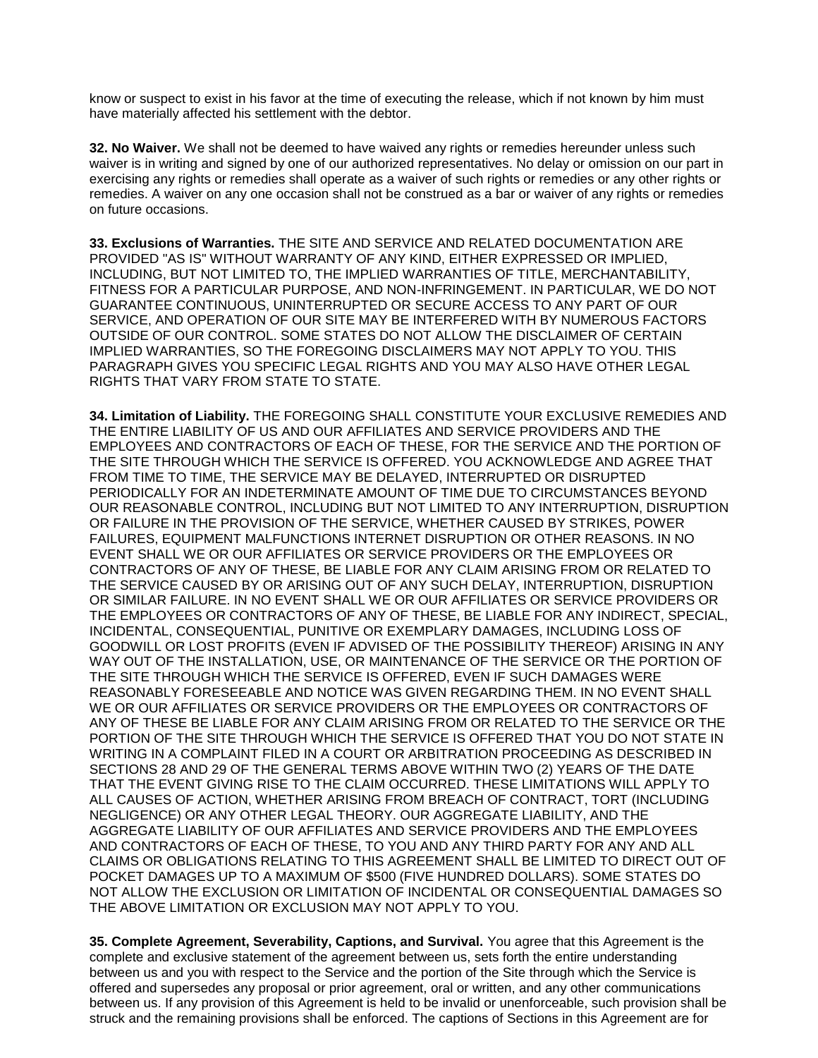know or suspect to exist in his favor at the time of executing the release, which if not known by him must have materially affected his settlement with the debtor.

**32. No Waiver.** We shall not be deemed to have waived any rights or remedies hereunder unless such waiver is in writing and signed by one of our authorized representatives. No delay or omission on our part in exercising any rights or remedies shall operate as a waiver of such rights or remedies or any other rights or remedies. A waiver on any one occasion shall not be construed as a bar or waiver of any rights or remedies on future occasions.

**33. Exclusions of Warranties.** THE SITE AND SERVICE AND RELATED DOCUMENTATION ARE PROVIDED "AS IS" WITHOUT WARRANTY OF ANY KIND, EITHER EXPRESSED OR IMPLIED, INCLUDING, BUT NOT LIMITED TO, THE IMPLIED WARRANTIES OF TITLE, MERCHANTABILITY, FITNESS FOR A PARTICULAR PURPOSE, AND NON-INFRINGEMENT. IN PARTICULAR, WE DO NOT GUARANTEE CONTINUOUS, UNINTERRUPTED OR SECURE ACCESS TO ANY PART OF OUR SERVICE, AND OPERATION OF OUR SITE MAY BE INTERFERED WITH BY NUMEROUS FACTORS OUTSIDE OF OUR CONTROL. SOME STATES DO NOT ALLOW THE DISCLAIMER OF CERTAIN IMPLIED WARRANTIES, SO THE FOREGOING DISCLAIMERS MAY NOT APPLY TO YOU. THIS PARAGRAPH GIVES YOU SPECIFIC LEGAL RIGHTS AND YOU MAY ALSO HAVE OTHER LEGAL RIGHTS THAT VARY FROM STATE TO STATE.

**34. Limitation of Liability.** THE FOREGOING SHALL CONSTITUTE YOUR EXCLUSIVE REMEDIES AND THE ENTIRE LIABILITY OF US AND OUR AFFILIATES AND SERVICE PROVIDERS AND THE EMPLOYEES AND CONTRACTORS OF EACH OF THESE, FOR THE SERVICE AND THE PORTION OF THE SITE THROUGH WHICH THE SERVICE IS OFFERED. YOU ACKNOWLEDGE AND AGREE THAT FROM TIME TO TIME, THE SERVICE MAY BE DELAYED, INTERRUPTED OR DISRUPTED PERIODICALLY FOR AN INDETERMINATE AMOUNT OF TIME DUE TO CIRCUMSTANCES BEYOND OUR REASONABLE CONTROL, INCLUDING BUT NOT LIMITED TO ANY INTERRUPTION, DISRUPTION OR FAILURE IN THE PROVISION OF THE SERVICE, WHETHER CAUSED BY STRIKES, POWER FAILURES, EQUIPMENT MALFUNCTIONS INTERNET DISRUPTION OR OTHER REASONS. IN NO EVENT SHALL WE OR OUR AFFILIATES OR SERVICE PROVIDERS OR THE EMPLOYEES OR CONTRACTORS OF ANY OF THESE, BE LIABLE FOR ANY CLAIM ARISING FROM OR RELATED TO THE SERVICE CAUSED BY OR ARISING OUT OF ANY SUCH DELAY, INTERRUPTION, DISRUPTION OR SIMILAR FAILURE. IN NO EVENT SHALL WE OR OUR AFFILIATES OR SERVICE PROVIDERS OR THE EMPLOYEES OR CONTRACTORS OF ANY OF THESE, BE LIABLE FOR ANY INDIRECT, SPECIAL, INCIDENTAL, CONSEQUENTIAL, PUNITIVE OR EXEMPLARY DAMAGES, INCLUDING LOSS OF GOODWILL OR LOST PROFITS (EVEN IF ADVISED OF THE POSSIBILITY THEREOF) ARISING IN ANY WAY OUT OF THE INSTALLATION, USE, OR MAINTENANCE OF THE SERVICE OR THE PORTION OF THE SITE THROUGH WHICH THE SERVICE IS OFFERED, EVEN IF SUCH DAMAGES WERE REASONABLY FORESEEABLE AND NOTICE WAS GIVEN REGARDING THEM. IN NO EVENT SHALL WE OR OUR AFFILIATES OR SERVICE PROVIDERS OR THE EMPLOYEES OR CONTRACTORS OF ANY OF THESE BE LIABLE FOR ANY CLAIM ARISING FROM OR RELATED TO THE SERVICE OR THE PORTION OF THE SITE THROUGH WHICH THE SERVICE IS OFFERED THAT YOU DO NOT STATE IN WRITING IN A COMPLAINT FILED IN A COURT OR ARBITRATION PROCEEDING AS DESCRIBED IN SECTIONS 28 AND 29 OF THE GENERAL TERMS ABOVE WITHIN TWO (2) YEARS OF THE DATE THAT THE EVENT GIVING RISE TO THE CLAIM OCCURRED. THESE LIMITATIONS WILL APPLY TO ALL CAUSES OF ACTION, WHETHER ARISING FROM BREACH OF CONTRACT, TORT (INCLUDING NEGLIGENCE) OR ANY OTHER LEGAL THEORY. OUR AGGREGATE LIABILITY, AND THE AGGREGATE LIABILITY OF OUR AFFILIATES AND SERVICE PROVIDERS AND THE EMPLOYEES AND CONTRACTORS OF EACH OF THESE, TO YOU AND ANY THIRD PARTY FOR ANY AND ALL CLAIMS OR OBLIGATIONS RELATING TO THIS AGREEMENT SHALL BE LIMITED TO DIRECT OUT OF POCKET DAMAGES UP TO A MAXIMUM OF \$500 (FIVE HUNDRED DOLLARS). SOME STATES DO NOT ALLOW THE EXCLUSION OR LIMITATION OF INCIDENTAL OR CONSEQUENTIAL DAMAGES SO THE ABOVE LIMITATION OR EXCLUSION MAY NOT APPLY TO YOU.

**35. Complete Agreement, Severability, Captions, and Survival.** You agree that this Agreement is the complete and exclusive statement of the agreement between us, sets forth the entire understanding between us and you with respect to the Service and the portion of the Site through which the Service is offered and supersedes any proposal or prior agreement, oral or written, and any other communications between us. If any provision of this Agreement is held to be invalid or unenforceable, such provision shall be struck and the remaining provisions shall be enforced. The captions of Sections in this Agreement are for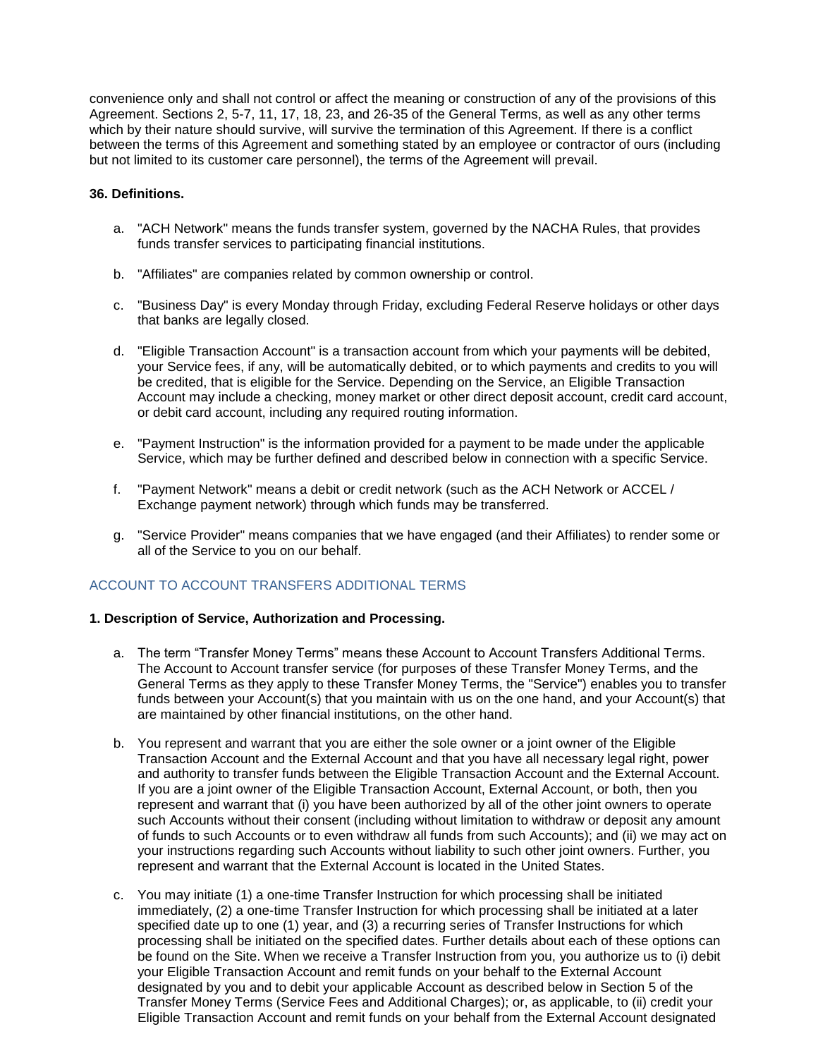convenience only and shall not control or affect the meaning or construction of any of the provisions of this Agreement. Sections 2, 5-7, 11, 17, 18, 23, and 26-35 of the General Terms, as well as any other terms which by their nature should survive, will survive the termination of this Agreement. If there is a conflict between the terms of this Agreement and something stated by an employee or contractor of ours (including but not limited to its customer care personnel), the terms of the Agreement will prevail.

# **36. Definitions.**

- a. "ACH Network" means the funds transfer system, governed by the NACHA Rules, that provides funds transfer services to participating financial institutions.
- b. "Affiliates" are companies related by common ownership or control.
- c. "Business Day" is every Monday through Friday, excluding Federal Reserve holidays or other days that banks are legally closed.
- d. "Eligible Transaction Account" is a transaction account from which your payments will be debited, your Service fees, if any, will be automatically debited, or to which payments and credits to you will be credited, that is eligible for the Service. Depending on the Service, an Eligible Transaction Account may include a checking, money market or other direct deposit account, credit card account, or debit card account, including any required routing information.
- e. "Payment Instruction" is the information provided for a payment to be made under the applicable Service, which may be further defined and described below in connection with a specific Service.
- f. "Payment Network" means a debit or credit network (such as the ACH Network or ACCEL / Exchange payment network) through which funds may be transferred.
- g. "Service Provider" means companies that we have engaged (and their Affiliates) to render some or all of the Service to you on our behalf.

# ACCOUNT TO ACCOUNT TRANSFERS ADDITIONAL TERMS

# **1. Description of Service, Authorization and Processing.**

- a. The term "Transfer Money Terms" means these Account to Account Transfers Additional Terms. The Account to Account transfer service (for purposes of these Transfer Money Terms, and the General Terms as they apply to these Transfer Money Terms, the "Service") enables you to transfer funds between your Account(s) that you maintain with us on the one hand, and your Account(s) that are maintained by other financial institutions, on the other hand.
- b. You represent and warrant that you are either the sole owner or a joint owner of the Eligible Transaction Account and the External Account and that you have all necessary legal right, power and authority to transfer funds between the Eligible Transaction Account and the External Account. If you are a joint owner of the Eligible Transaction Account, External Account, or both, then you represent and warrant that (i) you have been authorized by all of the other joint owners to operate such Accounts without their consent (including without limitation to withdraw or deposit any amount of funds to such Accounts or to even withdraw all funds from such Accounts); and (ii) we may act on your instructions regarding such Accounts without liability to such other joint owners. Further, you represent and warrant that the External Account is located in the United States.
- c. You may initiate (1) a one-time Transfer Instruction for which processing shall be initiated immediately, (2) a one-time Transfer Instruction for which processing shall be initiated at a later specified date up to one (1) year, and (3) a recurring series of Transfer Instructions for which processing shall be initiated on the specified dates. Further details about each of these options can be found on the Site. When we receive a Transfer Instruction from you, you authorize us to (i) debit your Eligible Transaction Account and remit funds on your behalf to the External Account designated by you and to debit your applicable Account as described below in Section 5 of the Transfer Money Terms (Service Fees and Additional Charges); or, as applicable, to (ii) credit your Eligible Transaction Account and remit funds on your behalf from the External Account designated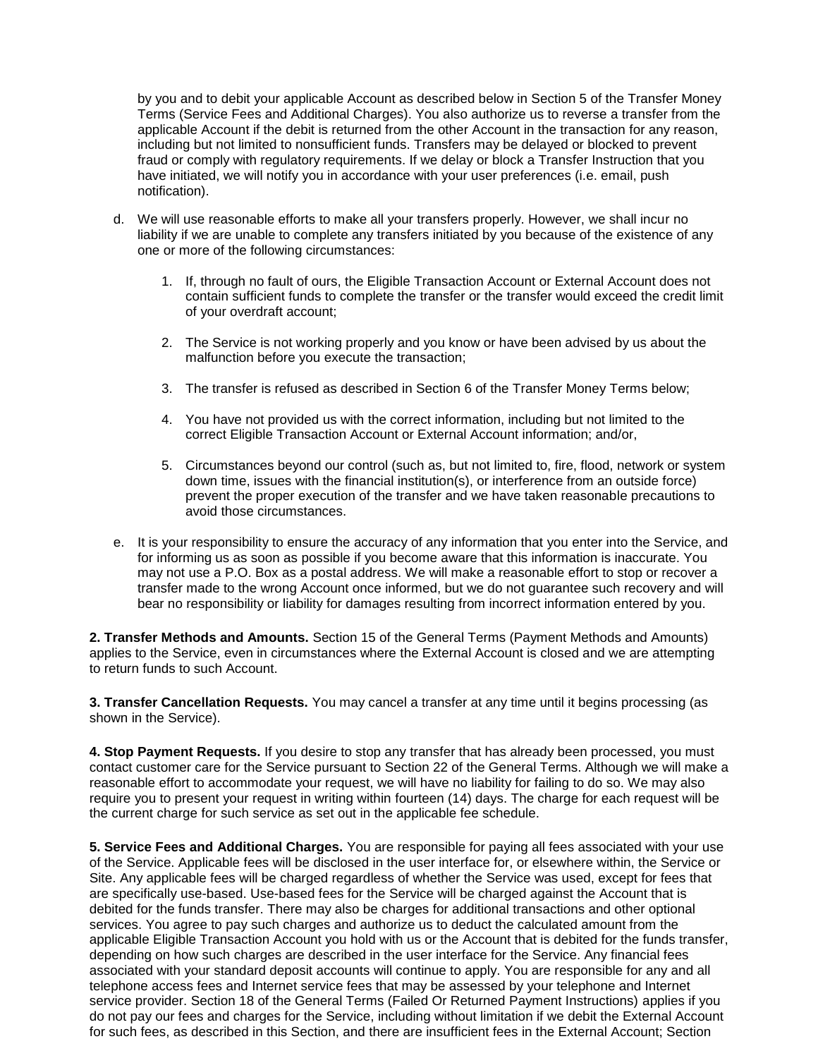by you and to debit your applicable Account as described below in Section 5 of the Transfer Money Terms (Service Fees and Additional Charges). You also authorize us to reverse a transfer from the applicable Account if the debit is returned from the other Account in the transaction for any reason, including but not limited to nonsufficient funds. Transfers may be delayed or blocked to prevent fraud or comply with regulatory requirements. If we delay or block a Transfer Instruction that you have initiated, we will notify you in accordance with your user preferences (i.e. email, push notification).

- d. We will use reasonable efforts to make all your transfers properly. However, we shall incur no liability if we are unable to complete any transfers initiated by you because of the existence of any one or more of the following circumstances:
	- 1. If, through no fault of ours, the Eligible Transaction Account or External Account does not contain sufficient funds to complete the transfer or the transfer would exceed the credit limit of your overdraft account;
	- 2. The Service is not working properly and you know or have been advised by us about the malfunction before you execute the transaction;
	- 3. The transfer is refused as described in Section 6 of the Transfer Money Terms below;
	- 4. You have not provided us with the correct information, including but not limited to the correct Eligible Transaction Account or External Account information; and/or,
	- 5. Circumstances beyond our control (such as, but not limited to, fire, flood, network or system down time, issues with the financial institution(s), or interference from an outside force) prevent the proper execution of the transfer and we have taken reasonable precautions to avoid those circumstances.
- e. It is your responsibility to ensure the accuracy of any information that you enter into the Service, and for informing us as soon as possible if you become aware that this information is inaccurate. You may not use a P.O. Box as a postal address. We will make a reasonable effort to stop or recover a transfer made to the wrong Account once informed, but we do not guarantee such recovery and will bear no responsibility or liability for damages resulting from incorrect information entered by you.

**2. Transfer Methods and Amounts.** Section 15 of the General Terms (Payment Methods and Amounts) applies to the Service, even in circumstances where the External Account is closed and we are attempting to return funds to such Account.

**3. Transfer Cancellation Requests.** You may cancel a transfer at any time until it begins processing (as shown in the Service).

**4. Stop Payment Requests.** If you desire to stop any transfer that has already been processed, you must contact customer care for the Service pursuant to Section 22 of the General Terms. Although we will make a reasonable effort to accommodate your request, we will have no liability for failing to do so. We may also require you to present your request in writing within fourteen (14) days. The charge for each request will be the current charge for such service as set out in the applicable fee schedule.

**5. Service Fees and Additional Charges.** You are responsible for paying all fees associated with your use of the Service. Applicable fees will be disclosed in the user interface for, or elsewhere within, the Service or Site. Any applicable fees will be charged regardless of whether the Service was used, except for fees that are specifically use-based. Use-based fees for the Service will be charged against the Account that is debited for the funds transfer. There may also be charges for additional transactions and other optional services. You agree to pay such charges and authorize us to deduct the calculated amount from the applicable Eligible Transaction Account you hold with us or the Account that is debited for the funds transfer, depending on how such charges are described in the user interface for the Service. Any financial fees associated with your standard deposit accounts will continue to apply. You are responsible for any and all telephone access fees and Internet service fees that may be assessed by your telephone and Internet service provider. Section 18 of the General Terms (Failed Or Returned Payment Instructions) applies if you do not pay our fees and charges for the Service, including without limitation if we debit the External Account for such fees, as described in this Section, and there are insufficient fees in the External Account; Section